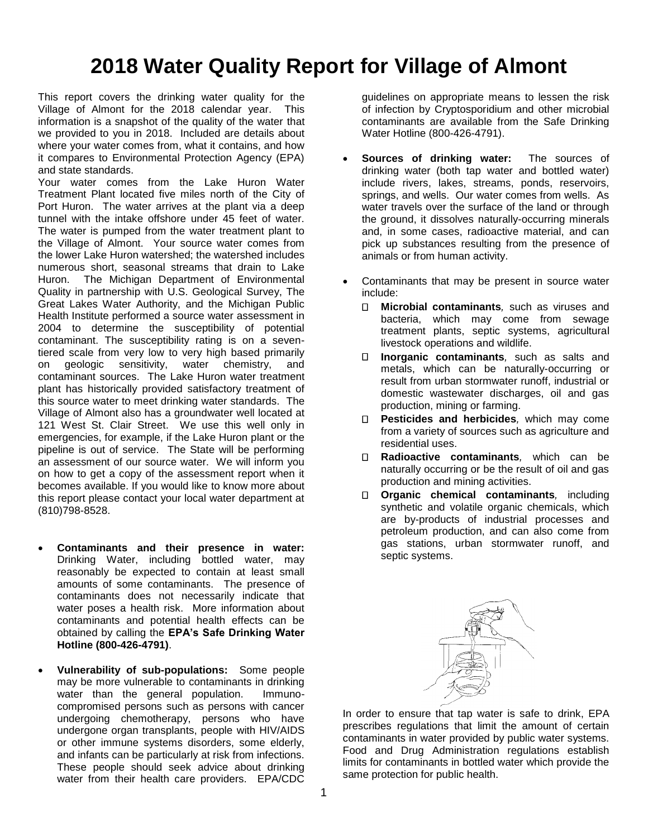# **2018 Water Quality Report for Village of Almont**

This report covers the drinking water quality for the Village of Almont for the 2018 calendar year. This information is a snapshot of the quality of the water that we provided to you in 2018. Included are details about where your water comes from, what it contains, and how it compares to Environmental Protection Agency (EPA) and state standards.

Your water comes from the Lake Huron Water Treatment Plant located five miles north of the City of Port Huron. The water arrives at the plant via a deep tunnel with the intake offshore under 45 feet of water. The water is pumped from the water treatment plant to the Village of Almont. Your source water comes from the lower Lake Huron watershed; the watershed includes numerous short, seasonal streams that drain to Lake Huron. The Michigan Department of Environmental Quality in partnership with U.S. Geological Survey, The Great Lakes Water Authority, and the Michigan Public Health Institute performed a source water assessment in 2004 to determine the susceptibility of potential contaminant. The susceptibility rating is on a seventiered scale from very low to very high based primarily on geologic sensitivity, water chemistry, and contaminant sources. The Lake Huron water treatment plant has historically provided satisfactory treatment of this source water to meet drinking water standards. The Village of Almont also has a groundwater well located at 121 West St. Clair Street. We use this well only in emergencies, for example, if the Lake Huron plant or the pipeline is out of service. The State will be performing an assessment of our source water. We will inform you on how to get a copy of the assessment report when it becomes available. If you would like to know more about this report please contact your local water department at (810)798-8528.

- **Contaminants and their presence in water:**  Drinking Water, including bottled water, may reasonably be expected to contain at least small amounts of some contaminants. The presence of contaminants does not necessarily indicate that water poses a health risk. More information about contaminants and potential health effects can be obtained by calling the **EPA's Safe Drinking Water Hotline (800-426-4791)**.
- **Vulnerability of sub-populations:** Some people may be more vulnerable to contaminants in drinking water than the general population. Immunocompromised persons such as persons with cancer undergoing chemotherapy, persons who have undergone organ transplants, people with HIV/AIDS or other immune systems disorders, some elderly, and infants can be particularly at risk from infections. These people should seek advice about drinking water from their health care providers. EPA/CDC

guidelines on appropriate means to lessen the risk of infection by Cryptosporidium and other microbial contaminants are available from the Safe Drinking Water Hotline (800-426-4791).

- **Sources of drinking water:** The sources of drinking water (both tap water and bottled water) include rivers, lakes, streams, ponds, reservoirs, springs, and wells. Our water comes from wells. As water travels over the surface of the land or through the ground, it dissolves naturally-occurring minerals and, in some cases, radioactive material, and can pick up substances resulting from the presence of animals or from human activity.
- Contaminants that may be present in source water include:
	- $\Box$ **Microbial contaminants***,* such as viruses and bacteria, which may come from sewage treatment plants, septic systems, agricultural livestock operations and wildlife.
	- $\Box$ **Inorganic contaminants***,* such as salts and metals, which can be naturally-occurring or result from urban stormwater runoff, industrial or domestic wastewater discharges, oil and gas production, mining or farming.
	- **Pesticides and herbicides***,* which may come from a variety of sources such as agriculture and residential uses.
	- **Radioactive contaminants***,* which can be naturally occurring or be the result of oil and gas production and mining activities.
	- **Organic chemical contaminants***,* including synthetic and volatile organic chemicals, which are by-products of industrial processes and petroleum production, and can also come from gas stations, urban stormwater runoff, and septic systems.



In order to ensure that tap water is safe to drink, EPA prescribes regulations that limit the amount of certain contaminants in water provided by public water systems. Food and Drug Administration regulations establish limits for contaminants in bottled water which provide the same protection for public health.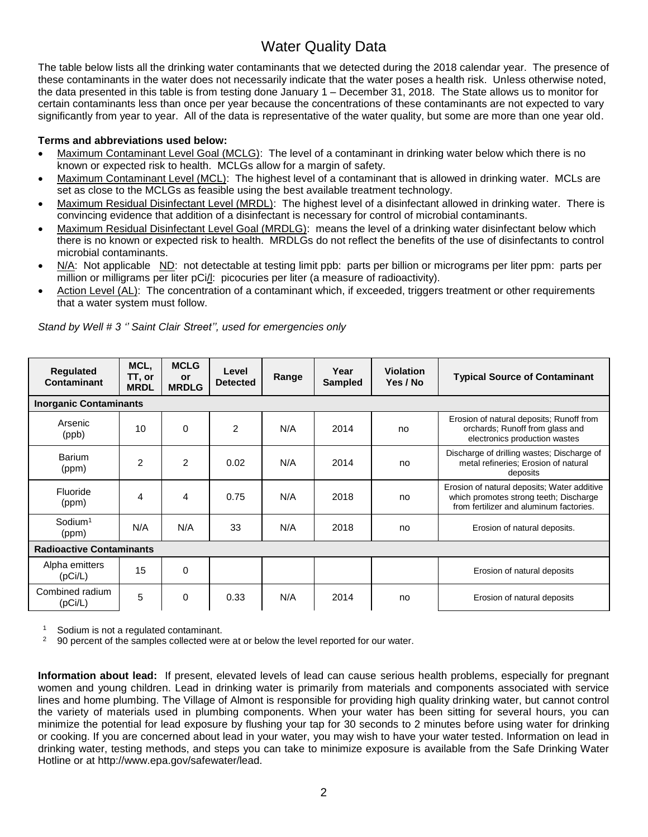## Water Quality Data

The table below lists all the drinking water contaminants that we detected during the 2018 calendar year. The presence of these contaminants in the water does not necessarily indicate that the water poses a health risk. Unless otherwise noted, the data presented in this table is from testing done January 1 – December 31, 2018. The State allows us to monitor for certain contaminants less than once per year because the concentrations of these contaminants are not expected to vary significantly from year to year. All of the data is representative of the water quality, but some are more than one year old.

#### **Terms and abbreviations used below:**

- Maximum Contaminant Level Goal (MCLG): The level of a contaminant in drinking water below which there is no known or expected risk to health. MCLGs allow for a margin of safety.
- Maximum Contaminant Level (MCL): The highest level of a contaminant that is allowed in drinking water. MCLs are set as close to the MCLGs as feasible using the best available treatment technology.
- Maximum Residual Disinfectant Level (MRDL): The highest level of a disinfectant allowed in drinking water. There is convincing evidence that addition of a disinfectant is necessary for control of microbial contaminants.
- Maximum Residual Disinfectant Level Goal (MRDLG): means the level of a drinking water disinfectant below which there is no known or expected risk to health. MRDLGs do not reflect the benefits of the use of disinfectants to control microbial contaminants.
- N/A: Not applicable ND: not detectable at testing limit ppb: parts per billion or micrograms per liter ppm: parts per million or milligrams per liter pCi/l: picocuries per liter (a measure of radioactivity).
- Action Level (AL): The concentration of a contaminant which, if exceeded, triggers treatment or other requirements that a water system must follow.

| Regulated<br>Contaminant        | MCL,<br>TT, or<br><b>MRDL</b> | <b>MCLG</b><br><b>or</b><br><b>MRDLG</b> | Level<br><b>Detected</b> | Range | Year<br><b>Sampled</b> | <b>Violation</b><br>Yes / No | <b>Typical Source of Contaminant</b>                                                                                             |
|---------------------------------|-------------------------------|------------------------------------------|--------------------------|-------|------------------------|------------------------------|----------------------------------------------------------------------------------------------------------------------------------|
| <b>Inorganic Contaminants</b>   |                               |                                          |                          |       |                        |                              |                                                                                                                                  |
| Arsenic<br>(ppb)                | 10                            | $\Omega$                                 | $\overline{2}$           | N/A   | 2014                   | no                           | Erosion of natural deposits; Runoff from<br>orchards; Runoff from glass and<br>electronics production wastes                     |
| Barium<br>(ppm)                 | $\overline{2}$                | $\overline{2}$                           | 0.02                     | N/A   | 2014                   | no                           | Discharge of drilling wastes; Discharge of<br>metal refineries; Erosion of natural<br>deposits                                   |
| Fluoride<br>(ppm)               | 4                             | 4                                        | 0.75                     | N/A   | 2018                   | no                           | Erosion of natural deposits; Water additive<br>which promotes strong teeth; Discharge<br>from fertilizer and aluminum factories. |
| $S$ odium <sup>1</sup><br>(ppm) | N/A                           | N/A                                      | 33                       | N/A   | 2018                   | no                           | Erosion of natural deposits.                                                                                                     |
| <b>Radioactive Contaminants</b> |                               |                                          |                          |       |                        |                              |                                                                                                                                  |
| Alpha emitters<br>(pCi/L)       | 15                            | $\Omega$                                 |                          |       |                        |                              | Erosion of natural deposits                                                                                                      |
| Combined radium<br>(pCi/L)      | 5                             | 0                                        | 0.33                     | N/A   | 2014                   | no                           | Erosion of natural deposits                                                                                                      |

*Stand by Well # 3 '' Saint Clair Street'', used for emergencies only*

 $\frac{1}{2}$  Sodium is not a regulated contaminant.

<sup>2</sup> 90 percent of the samples collected were at or below the level reported for our water.

**Information about lead:** If present, elevated levels of lead can cause serious health problems, especially for pregnant women and young children. Lead in drinking water is primarily from materials and components associated with service lines and home plumbing. The Village of Almont is responsible for providing high quality drinking water, but cannot control the variety of materials used in plumbing components. When your water has been sitting for several hours, you can minimize the potential for lead exposure by flushing your tap for 30 seconds to 2 minutes before using water for drinking or cooking. If you are concerned about lead in your water, you may wish to have your water tested. Information on lead in drinking water, testing methods, and steps you can take to minimize exposure is available from the Safe Drinking Water Hotline or at http://www.epa.gov/safewater/lead.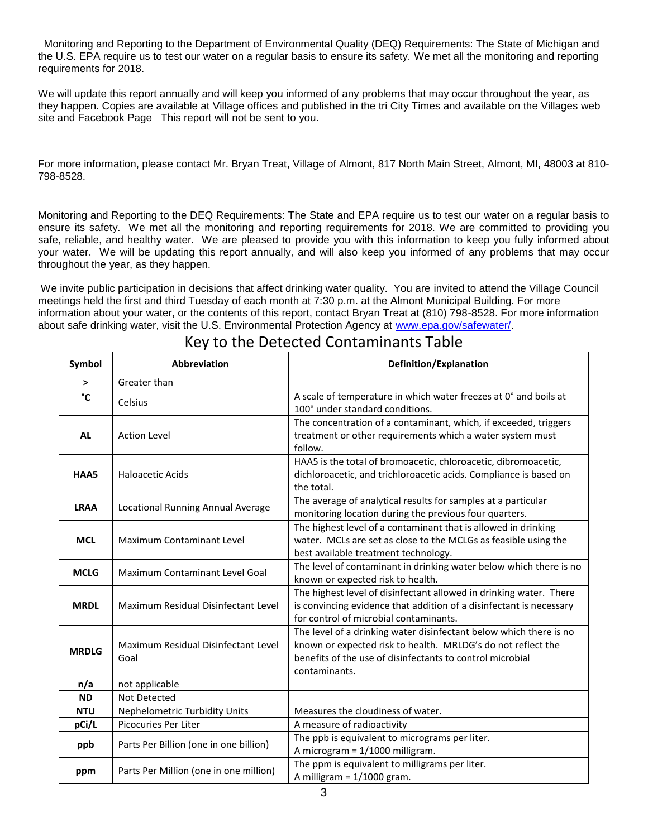Monitoring and Reporting to the Department of Environmental Quality (DEQ) Requirements: The State of Michigan and the U.S. EPA require us to test our water on a regular basis to ensure its safety. We met all the monitoring and reporting requirements for 2018.

We will update this report annually and will keep you informed of any problems that may occur throughout the year, as they happen. Copies are available at Village offices and published in the tri City Times and available on the Villages web site and Facebook Page This report will not be sent to you.

For more information, please contact Mr. Bryan Treat, Village of Almont, 817 North Main Street, Almont, MI, 48003 at 810- 798-8528.

Monitoring and Reporting to the DEQ Requirements: The State and EPA require us to test our water on a regular basis to ensure its safety. We met all the monitoring and reporting requirements for 2018. We are committed to providing you safe, reliable, and healthy water. We are pleased to provide you with this information to keep you fully informed about your water. We will be updating this report annually, and will also keep you informed of any problems that may occur throughout the year, as they happen.

We invite public participation in decisions that affect drinking water quality. You are invited to attend the Village Council meetings held the first and third Tuesday of each month at 7:30 p.m. at the Almont Municipal Building. For more information about your water, or the contents of this report, contact Bryan Treat at (810) 798-8528. For more information about safe drinking water, visit the U.S. Environmental Protection Agency at [www.epa.gov/safewater/.](http://www.epa.gov/safewater/)

| Symbol       | Abbreviation                                | Definition/Explanation                                                                                                                                                                                           |  |  |  |  |
|--------------|---------------------------------------------|------------------------------------------------------------------------------------------------------------------------------------------------------------------------------------------------------------------|--|--|--|--|
| $\,>\,$      | Greater than                                |                                                                                                                                                                                                                  |  |  |  |  |
| °C           | Celsius                                     | A scale of temperature in which water freezes at 0° and boils at<br>100° under standard conditions.                                                                                                              |  |  |  |  |
| <b>AL</b>    | <b>Action Level</b>                         | The concentration of a contaminant, which, if exceeded, triggers<br>treatment or other requirements which a water system must<br>follow.                                                                         |  |  |  |  |
| HAA5         | <b>Haloacetic Acids</b>                     | HAA5 is the total of bromoacetic, chloroacetic, dibromoacetic,<br>dichloroacetic, and trichloroacetic acids. Compliance is based on<br>the total.                                                                |  |  |  |  |
| <b>LRAA</b>  | Locational Running Annual Average           | The average of analytical results for samples at a particular<br>monitoring location during the previous four quarters.                                                                                          |  |  |  |  |
| <b>MCL</b>   | <b>Maximum Contaminant Level</b>            | The highest level of a contaminant that is allowed in drinking<br>water. MCLs are set as close to the MCLGs as feasible using the<br>best available treatment technology.                                        |  |  |  |  |
| <b>MCLG</b>  | Maximum Contaminant Level Goal              | The level of contaminant in drinking water below which there is no<br>known or expected risk to health.                                                                                                          |  |  |  |  |
| <b>MRDL</b>  | Maximum Residual Disinfectant Level         | The highest level of disinfectant allowed in drinking water. There<br>is convincing evidence that addition of a disinfectant is necessary<br>for control of microbial contaminants.                              |  |  |  |  |
| <b>MRDLG</b> | Maximum Residual Disinfectant Level<br>Goal | The level of a drinking water disinfectant below which there is no<br>known or expected risk to health. MRLDG's do not reflect the<br>benefits of the use of disinfectants to control microbial<br>contaminants. |  |  |  |  |
| n/a          | not applicable                              |                                                                                                                                                                                                                  |  |  |  |  |
| <b>ND</b>    | Not Detected                                |                                                                                                                                                                                                                  |  |  |  |  |
| <b>NTU</b>   | <b>Nephelometric Turbidity Units</b>        | Measures the cloudiness of water.                                                                                                                                                                                |  |  |  |  |
| pCi/L        | Picocuries Per Liter                        | A measure of radioactivity                                                                                                                                                                                       |  |  |  |  |
| ppb          | Parts Per Billion (one in one billion)      | The ppb is equivalent to micrograms per liter.<br>A microgram = 1/1000 milligram.                                                                                                                                |  |  |  |  |
| ppm          | Parts Per Million (one in one million)      | The ppm is equivalent to milligrams per liter.<br>A milligram = $1/1000$ gram.                                                                                                                                   |  |  |  |  |

### Key to the Detected Contaminants Table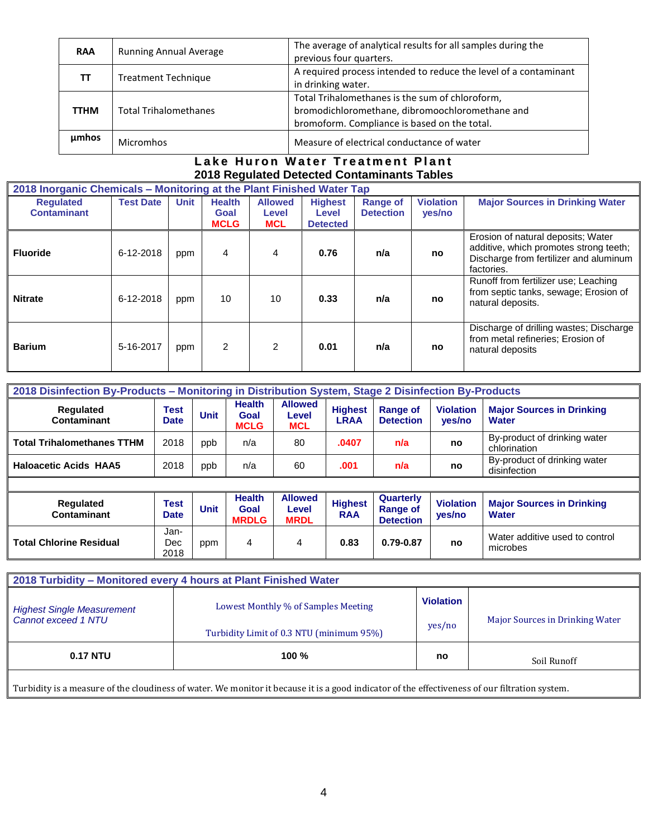| <b>RAA</b>  | <b>Running Annual Average</b> | The average of analytical results for all samples during the     |  |  |  |
|-------------|-------------------------------|------------------------------------------------------------------|--|--|--|
|             |                               | previous four quarters.                                          |  |  |  |
| TΤ          | <b>Treatment Technique</b>    | A required process intended to reduce the level of a contaminant |  |  |  |
|             |                               | in drinking water.                                               |  |  |  |
|             |                               | Total Trihalomethanes is the sum of chloroform,                  |  |  |  |
| <b>TTHM</b> | <b>Total Trihalomethanes</b>  | bromodichloromethane, dibromoochloromethane and                  |  |  |  |
|             |                               | bromoform. Compliance is based on the total.                     |  |  |  |
| umhos       | <b>Micromhos</b>              | Measure of electrical conductance of water                       |  |  |  |
|             |                               |                                                                  |  |  |  |

#### Lake Huron Water Treatment Plant **2018 Regulated Detected Contaminants Tables**

|                                        | 2018 Inorganic Chemicals - Monitoring at the Plant Finished Water Tap |             |                                      |                                       |                                            |                                     |                            |                                                                                                                                      |  |  |  |
|----------------------------------------|-----------------------------------------------------------------------|-------------|--------------------------------------|---------------------------------------|--------------------------------------------|-------------------------------------|----------------------------|--------------------------------------------------------------------------------------------------------------------------------------|--|--|--|
| <b>Requlated</b><br><b>Contaminant</b> | <b>Test Date</b>                                                      | <b>Unit</b> | <b>Health</b><br>Goal<br><b>MCLG</b> | <b>Allowed</b><br>Level<br><b>MCL</b> | <b>Highest</b><br>Level<br><b>Detected</b> | <b>Range of</b><br><b>Detection</b> | <b>Violation</b><br>yes/no | <b>Major Sources in Drinking Water</b>                                                                                               |  |  |  |
| <b>Fluoride</b>                        | 6-12-2018                                                             | ppm         | 4                                    | 4                                     | 0.76                                       | n/a                                 | no                         | Erosion of natural deposits; Water<br>additive, which promotes strong teeth;<br>Discharge from fertilizer and aluminum<br>factories. |  |  |  |
| <b>Nitrate</b>                         | 6-12-2018                                                             | ppm         | 10                                   | 10                                    | 0.33                                       | n/a                                 | no                         | Runoff from fertilizer use; Leaching<br>from septic tanks, sewage; Erosion of<br>natural deposits.                                   |  |  |  |
| <b>Barium</b>                          | 5-16-2017                                                             | ppm         | $\mathcal{P}$                        | 2                                     | 0.01                                       | n/a                                 | no                         | Discharge of drilling wastes; Discharge<br>from metal refineries; Erosion of<br>natural deposits                                     |  |  |  |

| 2018 Disinfection By-Products - Monitoring in Distribution System, Stage 2 Disinfection By-Products |              |             |                                      |                                       |                               |                                     |                            |                                                  |  |
|-----------------------------------------------------------------------------------------------------|--------------|-------------|--------------------------------------|---------------------------------------|-------------------------------|-------------------------------------|----------------------------|--------------------------------------------------|--|
| <b>Regulated</b><br>Contaminant                                                                     | Test<br>Date | <b>Unit</b> | <b>Health</b><br>Goal<br><b>MCLG</b> | <b>Allowed</b><br>Level<br><b>MCL</b> | <b>Highest</b><br><b>LRAA</b> | <b>Range of</b><br><b>Detection</b> | <b>Violation</b><br>yes/no | <b>Major Sources in Drinking</b><br><b>Water</b> |  |
| <b>Total Trihalomethanes TTHM</b>                                                                   | 2018         | ppb         | n/a                                  | 80                                    | .0407                         | n/a                                 | no                         | By-product of drinking water<br>chlorination     |  |
| <b>Haloacetic Acids HAA5</b>                                                                        | 2018         | ppp         | n/a                                  | 60                                    | .001                          | n/a                                 | no                         | By-product of drinking water<br>disinfection     |  |
|                                                                                                     |              |             |                                      | .                                     |                               |                                     |                            |                                                  |  |

| <b>Requlated</b><br>Contaminant | Test<br><b>Date</b> | <b>Unit</b> | <b>Health</b><br>Goal<br><b>MRDLG</b> | <b>Allowed</b><br>Level<br><b>MRDL</b> | <b>Highest</b><br><b>RAA</b> | Quarterly<br><b>Range of</b><br><b>Detection</b> | <b>Violation</b><br>ves/no | <b>Major Sources in Drinking</b><br>Water  |
|---------------------------------|---------------------|-------------|---------------------------------------|----------------------------------------|------------------------------|--------------------------------------------------|----------------------------|--------------------------------------------|
| <b>Total Chlorine Residual</b>  | Jan-<br>Dec<br>2018 | ppm         | 4                                     | 4                                      | 0.83                         | 0.79-0.87                                        | no                         | Water additive used to control<br>microbes |

|                                                                                                                                                | 2018 Turbidity - Monitored every 4 hours at Plant Finished Water                |                            |                                        |  |  |  |  |  |  |  |  |
|------------------------------------------------------------------------------------------------------------------------------------------------|---------------------------------------------------------------------------------|----------------------------|----------------------------------------|--|--|--|--|--|--|--|--|
| <b>Highest Single Measurement</b><br>Cannot exceed 1 NTU                                                                                       | Lowest Monthly % of Samples Meeting<br>Turbidity Limit of 0.3 NTU (minimum 95%) | <b>Violation</b><br>yes/no | <b>Major Sources in Drinking Water</b> |  |  |  |  |  |  |  |  |
| <b>0.17 NTU</b><br>100 $%$<br>no<br>Soil Runoff                                                                                                |                                                                                 |                            |                                        |  |  |  |  |  |  |  |  |
| Turbidity is a measure of the cloudiness of water. We monitor it because it is a good indicator of the effectiveness of our filtration system. |                                                                                 |                            |                                        |  |  |  |  |  |  |  |  |

Turbidity is a measure of the cloudiness of water. We monitor it because it is a good indicator of the effectiveness of our filtration system.